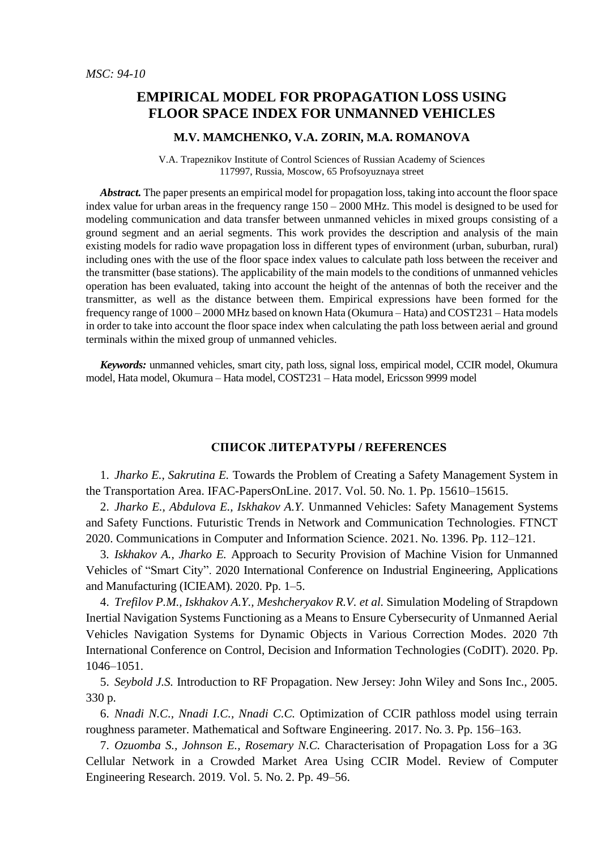## **EMPIRICAL MODEL FOR PROPAGATION LOSS USING FLOOR SPACE INDEX FOR UNMANNED VEHICLES**

## **M.V. MAMCHENKO, V.A. ZORIN, M.A. ROMANOVA**

V.A. Trapeznikov Institute of Control Sciences of Russian Academy of Sciences 117997, Russia, Moscow, 65 Profsoyuznaya street

*Abstract.* The paper presents an empirical model for propagation loss, taking into account the floor space index value for urban areas in the frequency range  $150 - 2000$  MHz. This model is designed to be used for modeling communication and data transfer between unmanned vehicles in mixed groups consisting of a ground segment and an aerial segments. This work provides the description and analysis of the main existing models for radio wave propagation loss in different types of environment (urban, suburban, rural) including ones with the use of the floor space index values to calculate path loss between the receiver and the transmitter (base stations). The applicability of the main models to the conditions of unmanned vehicles operation has been evaluated, taking into account the height of the antennas of both the receiver and the transmitter, as well as the distance between them. Empirical expressions have been formed for the frequency range of 1000 – 2000 MHz based on known Hata (Okumura – Hata) and COST231 – Hata models in order to take into account the floor space index when calculating the path loss between aerial and ground terminals within the mixed group of unmanned vehicles.

*Keywords:* unmanned vehicles, smart city, path loss, signal loss, empirical model, CCIR model, Okumura model, Hata model, Okumura – Hata model, COST231 – Hata model, Ericsson 9999 model

## **СПИСОК ЛИТЕРАТУРЫ / REFERENCES**

1. *Jharko E., Sakrutina E.* Towards the Problem of Creating a Safety Management System in the Transportation Area. IFAC-PapersOnLine. 2017. Vol. 50. No. 1. Pp. 15610–15615.

2. *Jharko E., Abdulova E., Iskhakov A.Y.* Unmanned Vehicles: Safety Management Systems and Safety Functions. Futuristic Trends in Network and Communication Technologies. FTNCT 2020. Communications in Computer and Information Science. 2021. No. 1396. Pp. 112–121.

3. *Iskhakov A., Jharko E.* Approach to Security Provision of Machine Vision for Unmanned Vehicles of "Smart City". 2020 International Conference on Industrial Engineering, Applications and Manufacturing (ICIEAM). 2020. Pp. 1–5.

4. *Trefilov P.M., Iskhakov A.Y., Meshcheryakov R.V. et al.* Simulation Modeling of Strapdown Inertial Navigation Systems Functioning as a Means to Ensure Cybersecurity of Unmanned Aerial Vehicles Navigation Systems for Dynamic Objects in Various Correction Modes. 2020 7th International Conference on Control, Decision and Information Technologies (CoDIT). 2020. Pp. 1046–1051.

5. *Seybold J.S.* Introduction to RF Propagation. New Jersey: John Wiley and Sons Inc., 2005. 330 p.

6. *Nnadi N.C., Nnadi I.C., Nnadi C.C.* Optimization of CCIR pathloss model using terrain roughness parameter. Mathematical and Software Engineering. 2017. No. 3. Pp. 156–163.

7. *Ozuomba S., Johnson E., Rosemary N.C.* Characterisation of Propagation Loss for a 3G Cellular Network in a Crowded Market Area Using CCIR Model. Review of Computer Engineering Research. 2019. Vol. 5. No. 2. Pp. 49–56.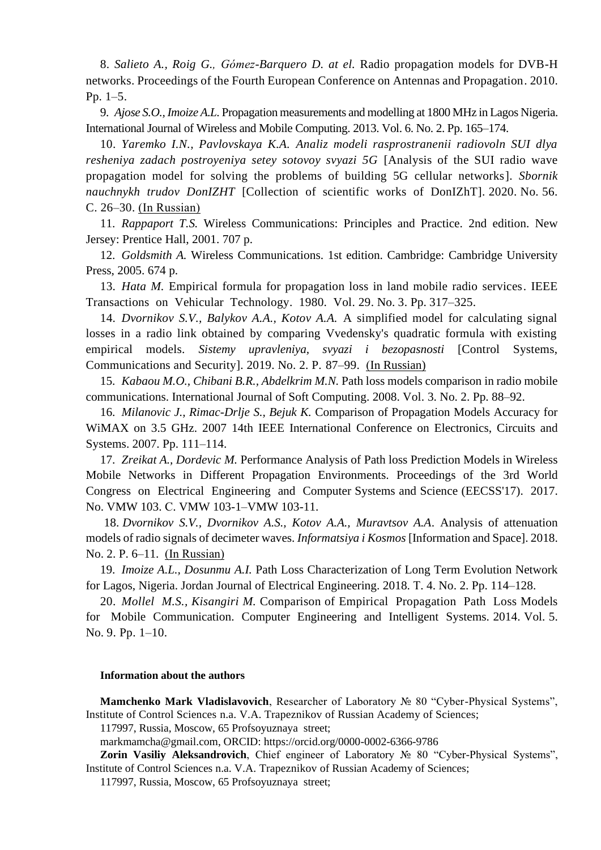8. *Salieto A., Roig G., Gómez-Barquero D. at el.* Radio propagation models for DVB-H networks. Proceedings of the Fourth European Conference on Antennas and Propagation. 2010. Pp. 1–5.

9. *Ajose S.O., Imoize A.L.* Propagation measurements and modelling at 1800 MHz in Lagos Nigeria. International Journal of Wireless and Mobile Computing. 2013. Vol. 6. No. 2. Pp. 165–174.

10. *Yaremko I.N., Pavlovskaya K.A. Analiz modeli rasprostranenii radiovoln SUI dlya resheniya zadach postroyeniya setey sotovoy svyazi 5G* [Analysis of the SUI radio wave propagation model for solving the problems of building 5G cellular networks]. *Sbornik nauchnykh trudov DonIZHT* [Collection of scientific works of DonIZhT]. 2020. No. 56. C. 26–30. (In Russian)

11. *Rappaport T.S.* Wireless Communications: Principles and Practice. 2nd edition. New Jersey: Prentice Hall, 2001. 707 p.

12. *Goldsmith A.* Wireless Communications. 1st edition. Cambridge: Cambridge University Press, 2005. 674 p.

13. *Hata M.* Empirical formula for propagation loss in land mobile radio services. IEEE Transactions on Vehicular Technology. 1980. Vol. 29. No. 3. Pp. 317–325.

14. *Dvornikov S.V., Balykov A.A., Kotov A.A.* A simplified model for calculating signal losses in a radio link obtained by comparing Vvedensky's quadratic formula with existing empirical models. *Sistemy upravleniya, svyazi i bezopasnosti* [Control Systems, Communications and Security]. 2019. No. 2. P. 87–99. (In Russian)

15. *Kabaou M.O., Chibani B.R., Abdelkrim M.N.* Path loss models comparison in radio mobile communications. International Journal of Soft Computing. 2008. Vol. 3. No. 2. Pp. 88–92.

16. *Milanovic J., Rimac-Drlje S., Bejuk K.* Comparison of Propagation Models Accuracy for WiMAX on 3.5 GHz. 2007 14th IEEE International Conference on Electronics, Circuits and Systems. 2007. Pp. 111–114.

17. *Zreikat A., Dordevic M.* Performance Analysis of Path loss Prediction Models in Wireless Mobile Networks in Different Propagation Environments. Proceedings of the 3rd World Congress on Electrical Engineering and Computer Systems and Science (EECSS'17). 2017. No. VMW 103. С. VMW 103-1–VMW 103-11.

18. *Dvornikov S.V., Dvornikov A.S., Kotov A.A., Muravtsov A.A*. Analysis of attenuation models of radio signals of decimeter waves. *Informatsiya i Kosmos* [Information and Space]. 2018. No. 2. P. 6–11. (In Russian)

19. *Imoize A.L., Dosunmu A.I.* Path Loss Characterization of Long Term Evolution Network for Lagos, Nigeria. Jordan Journal of Electrical Engineering. 2018. Т. 4. No. 2. Pp. 114–128.

20. *Mollel M.S., Kisangiri M.* Comparison of Empirical Propagation Path Loss Models for Mobile Communication. Computer Engineering and Intelligent Systems. 2014. Vol. 5. No. 9. Pp. 1–10.

## **Information about the authors**

**Mamchenko Mark Vladislavovich**, Researcher of Laboratory № 80 "Cyber-Physical Systems", Institute of Control Sciences n.a. V.A. Trapeznikov of Russian Academy of Sciences;

117997, Russia, Moscow, 65 Profsoyuznaya street;

markmamcha@gmail.com, ORCID: https://orcid.org/0000-0002-6366-9786

**Zorin Vasiliy Aleksandrovich**, Chief engineer of Laboratory № 80 "Cyber-Physical Systems", Institute of Control Sciences n.a. V.A. Trapeznikov of Russian Academy of Sciences;

117997, Russia, Moscow, 65 Profsoyuznaya street;